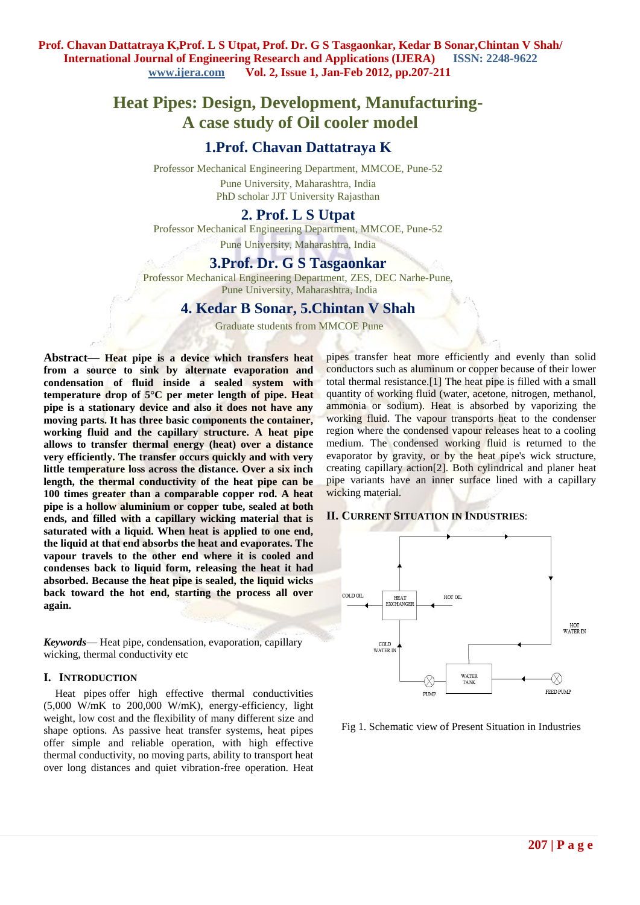# **Heat Pipes: Design, Development, Manufacturing-A case study of Oil cooler model**

# **1.Prof. Chavan Dattatraya K**

Professor Mechanical Engineering Department, MMCOE, Pune-52 Pune University, Maharashtra, India PhD scholar JJT University Rajasthan

## **2. Prof. L S Utpat**

Professor Mechanical Engineering Department, MMCOE, Pune-52 Pune University, Maharashtra, India

# **3.Prof. Dr. G S Tasgaonkar**

Professor Mechanical Engineering Department, ZES, DEC Narhe-Pune, Pune University, Maharashtra, India

## **4. Kedar B Sonar, 5.Chintan V Shah**

Graduate students from MMCOE Pune

**Abstract***—* **Heat pipe is a device which transfers heat from a source to sink by alternate evaporation and condensation of fluid inside a sealed system with temperature drop of 5°C per meter length of pipe. Heat pipe is a stationary device and also it does not have any moving parts. It has three basic components the container, working fluid and the capillary structure. A heat pipe allows to transfer thermal energy (heat) over a distance very efficiently. The transfer occurs quickly and with very little temperature loss across the distance. Over a six inch length, the thermal conductivity of the heat pipe can be 100 times greater than a comparable copper rod. A heat pipe is a hollow aluminium or copper tube, sealed at both ends, and filled with a capillary wicking material that is saturated with a liquid. When heat is applied to one end, the liquid at that end absorbs the heat and evaporates. The vapour travels to the other end where it is cooled and condenses back to liquid form, releasing the heat it had absorbed. Because the heat pipe is sealed, the liquid wicks back toward the hot end, starting the process all over again.**

*Keywords*— Heat pipe, condensation, evaporation, capillary wicking, thermal conductivity etc

#### **I. INTRODUCTION**

[Heat pipes](http://www.thermacore.com/products/heat-pipes.aspx) offer high effective thermal conductivities  $(5,000 \text{ W/mK})$  to 200,000 W/mK), energy-efficiency, light weight, low cost and the flexibility of many different size and shape options. As passive heat transfer systems, heat pipes offer simple and reliable operation, with high effective thermal conductivity, no moving parts, ability to transport heat over long distances and quiet vibration-free operation. Heat pipes transfer heat more efficiently and evenly than solid conductors such as aluminum or copper because of their lower total thermal resistance.[1] The heat pipe is filled with a small quantity of working fluid (water, acetone, nitrogen, methanol, ammonia or sodium). Heat is absorbed by vaporizing the working fluid. The vapour transports heat to the condenser region where the condensed vapour releases heat to a cooling medium. The condensed working fluid is returned to the evaporator by gravity, or by the heat pipe's wick structure, creating capillary action[2]. Both cylindrical and planer heat pipe variants have an inner surface lined with a capillary wicking material.

#### **II. CURRENT SITUATION IN INDUSTRIES**:



Fig 1. Schematic view of Present Situation in Industries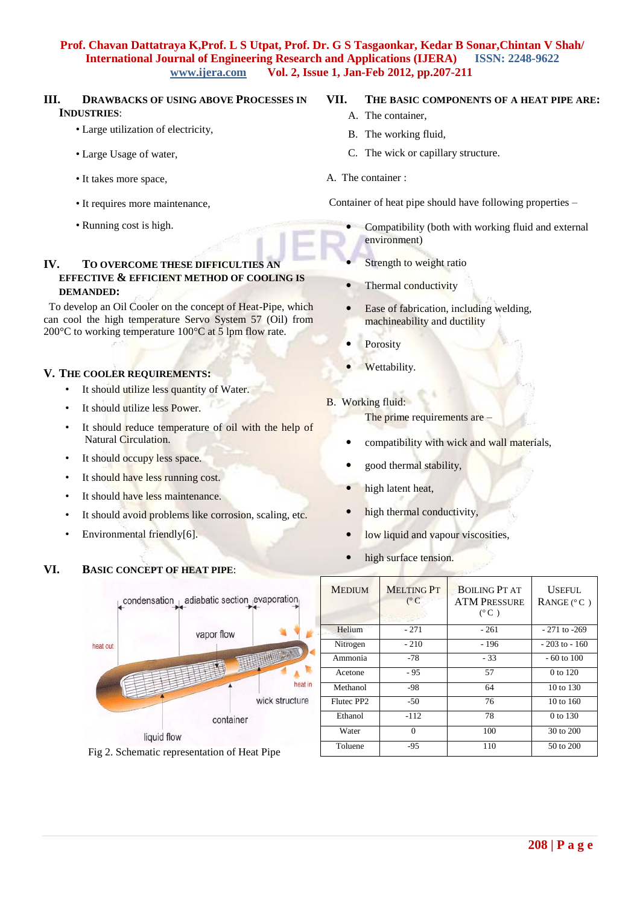#### **III. DRAWBACKS OF USING ABOVE PROCESSES IN INDUSTRIES**:

- Large utilization of electricity,
- Large Usage of water,
- It takes more space,
- It requires more maintenance,
- Running cost is high.

## **IV.** TO OVERCOME THESE DIFFICULTIES A **EFFECTIVE & EFFICIENT METHOD OF COOLING IS DEMANDED:**

 To develop an Oil Cooler on the concept of Heat-Pipe, which can cool the high temperature Servo System 57 (Oil) from 200°C to working temperature 100°C at 5 lpm flow rate.

#### **V. THE COOLER REQUIREMENTS:**

- It should utilize less quantity of Water.
- It should utilize less Power.
- It should reduce temperature of oil with the help of Natural Circulation.
- It should occupy less space.
- It should have less running cost.
- It should have less maintenance.
- It should avoid problems like corrosion, scaling, etc.
- Environmental friendly[6].

#### **VI. BASIC CONCEPT OF HEAT PIPE**:



Fig 2. Schematic representation of Heat Pipe

# **VII. THE BASIC COMPONENTS OF A HEAT PIPE ARE:**

- A. The container,
- B. The working fluid,
- C. The wick or capillary structure.
- A. The container :

Container of heat pipe should have following properties –

- Compatibility (both with working fluid and external environment)
- Strength to weight ratio
- Thermal conductivity
- Ease of fabrication, including welding, machineability and ductility
- Porosity
- Wettability.
- B. Working fluid:

The prime requirements are –

- compatibility with wick and wall materials,
- good thermal stability,
- high latent heat,
- high thermal conductivity,
- low liquid and vapour viscosities,
- high surface tension.

| <b>MEDIUM</b> | <b>MELTING PT</b><br>$(^{\circ}C)$ | <b>BOILING PT AT</b><br><b>ATM PRESSURE</b><br>$(^{\circ}C)$ | <b>USEFUL</b><br>RANGE $(^{\circ}C)$ |
|---------------|------------------------------------|--------------------------------------------------------------|--------------------------------------|
| Helium        | $-271$                             | $-261$                                                       | $-271$ to $-269$                     |
| Nitrogen      | $-210$                             | - 196                                                        | $-203$ to $-160$                     |
| Ammonia       | $-78$                              | $-33$                                                        | $-60$ to $100$                       |
| Acetone       | $-95$                              | 57                                                           | $0$ to 120                           |
| Methanol      | -98                                | 64                                                           | 10 to 130                            |
| Flutec PP2    | -50                                | 76                                                           | $10 \text{ to } 160$                 |
| Ethanol       | $-112$                             | 78                                                           | 0 to 130                             |
| Water         | $\Omega$                           | 100                                                          | 30 to 200                            |
| Toluene       | $-95$                              | 110                                                          | 50 to 200                            |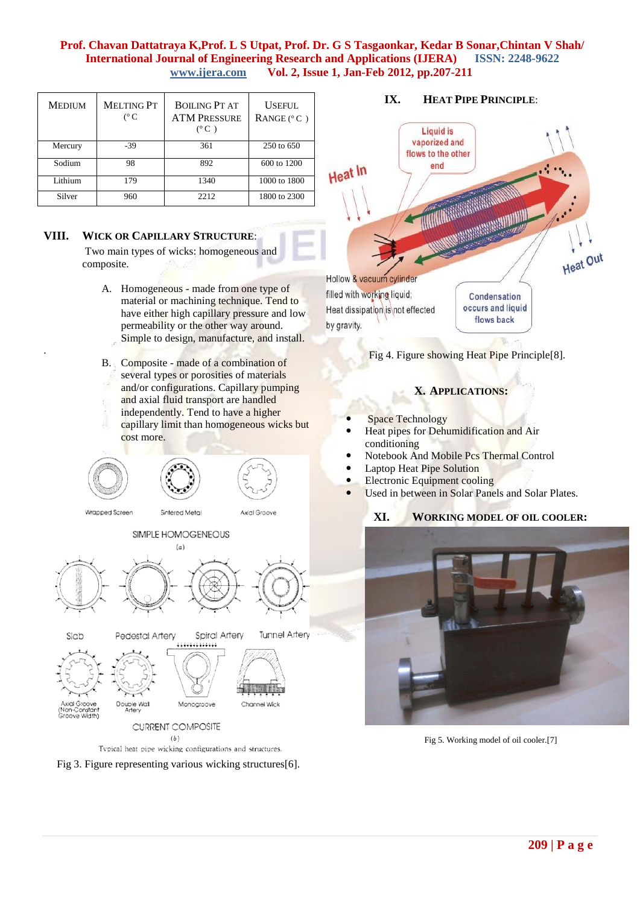| <b>MEDIUM</b> | <b>MELTING PT</b><br>$(^{\circ}C)$ | <b>BOILING PT AT</b><br><b>ATM PRESSURE</b><br>$(^{\circ}C)$ | <b>USEFUL</b><br>RANGE $(°C)$ |
|---------------|------------------------------------|--------------------------------------------------------------|-------------------------------|
| Mercury       | $-39$                              | 361                                                          | 250 to 650                    |
| Sodium        | 98                                 | 892                                                          | 600 to 1200                   |
| Lithium       | 179                                | 1340                                                         | 1000 to 1800                  |
| Silver        | 960                                | 2212                                                         | 1800 to 2300                  |

#### **VIII. WICK OR CAPILLARY STRUCTURE**:

.

Two main types of wicks: homogeneous and composite.

- A. Homogeneous made from one type of material or machining technique. Tend to have either high capillary pressure and low permeability or the other way around. Simple to design, manufacture, and install.
- B. Composite made of a combination of several types or porosities of materials and/or configurations. Capillary pumping and axial fluid transport are handled independently. Tend to have a higher capillary limit than homogeneous wicks but cost more.





## **IX. HEAT PIPE PRINCIPLE**:



Fig 4. Figure showing Heat Pipe Principle[8].

# **X. APPLICATIONS:**

- Space Technology
- Heat pipes for Dehumidification and Air conditioning
- Notebook And Mobile Pcs Thermal Control
- Laptop Heat Pipe Solution
- Electronic Equipment cooling
- Used in between in Solar Panels and Solar Plates.

# **XI. WORKING MODEL OF OIL COOLER:**



Fig 5. Working model of oil cooler.[7]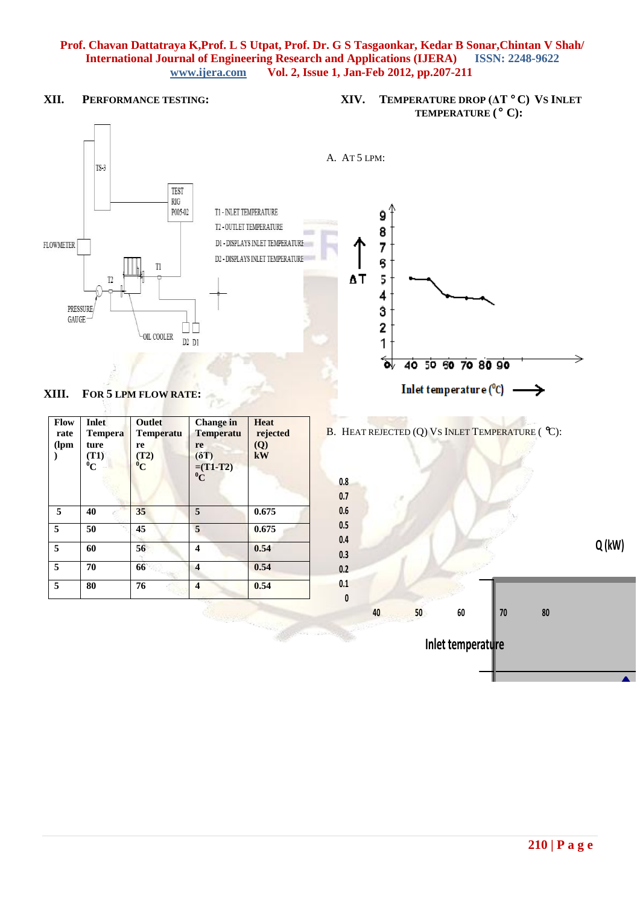**XII. PERFORMANCE TESTING:**

# **XIV. TEMPERATURE DROP (ΔT C) VS INLET TEMPERATURE ( C):**